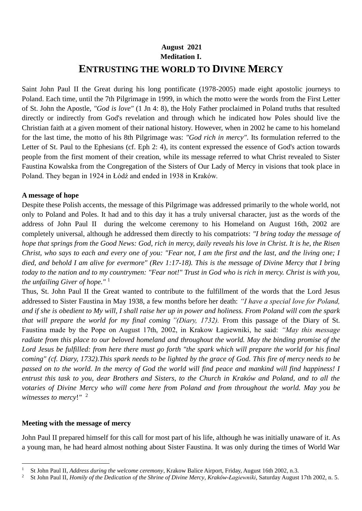# **August 2021 Meditation I. ENTRUSTING THE WORLD TO DIVINE MERCY**

Saint John Paul II the Great during his long pontificate (1978-2005) made eight apostolic journeys to Poland. Each time, until the 7th Pilgrimage in 1999, in which the motto were the words from the First Letter of St. John the Apostle, *"God is love"* (1 Jn 4: 8), the Holy Father proclaimed in Poland truths that resulted directly or indirectly from God's revelation and through which he indicated how Poles should live the Christian faith at a given moment of their national history. However, when in 2002 he came to his homeland for the last time, the motto of his 8th Pilgrimage was: *"God rich in mercy"*. Its formulation referred to the Letter of St. Paul to the Ephesians (cf. Eph 2: 4), its content expressed the essence of God's action towards people from the first moment of their creation, while its message referred to what Christ revealed to Sister Faustina Kowalska from the Congregation of the Sisters of Our Lady of Mercy in visions that took place in Poland. They began in 1924 in Łódź and ended in 1938 in Kraków.

### **A message of hope**

Despite these Polish accents, the message of this Pilgrimage was addressed primarily to the whole world, not only to Poland and Poles. It had and to this day it has a truly universal character, just as the words of the address of John Paul II during the welcome ceremony to his Homeland on August 16th, 2002 are completely universal, although he addressed them directly to his compatriots: *"I bring today the message of hope that springs from the Good News: God, rich in mercy, daily reveals his love in Christ. It is he, the Risen Christ, who says to each and every one of you: "Fear not, I am the first and the last, and the living one; I died, and behold I am alive for evermore" (Rev 1:17-18). This is the message of Divine Mercy that I bring today to the nation and to my countrymen: "Fear not!" Trust in God who is rich in mercy. Christ is with you, the unfailing Giver of hope."* <sup>1</sup>

Thus, St. John Paul II the Great wanted to contribute to the fulfillment of the words that the Lord Jesus addressed to Sister Faustina in May 1938, a few months before her death: *"I have a special love for Poland, and if she is obedient to My will, I shall raise her up in power and holiness. From Poland will com the spark that will prepare the world for my final coming "(Diary, 1732).* From this passage of the Diary of St. Faustina made by the Pope on August 17th, 2002, in Krakow Łagiewniki, he said: *"May this message radiate from this place to our beloved homeland and throughout the world. May the binding promise of the*  Lord Jesus be fulfilled: from here there must go forth "the spark which will prepare the world for his final *coming" (cf. Diary, 1732).This spark needs to be lighted by the grace of God. This fire of mercy needs to be passed on to the world. In the mercy of God the world will find peace and mankind will find happiness! I entrust this task to you, dear Brothers and Sisters, to the Church in Kraków and Poland, and to all the votaries of Divine Mercy who will come here from Poland and from throughout the world. May you be witnesses to mercy*!*"* 2

### **Meeting with the message of mercy**

John Paul II prepared himself for this call for most part of his life, although he was initially unaware of it. As a young man, he had heard almost nothing about Sister Faustina. It was only during the times of World War

<sup>1</sup> St John Paul II, *Address during the welcome ceremony*, Krakow Balice Airport, Friday, August 16th 2002, n.3.

<sup>2</sup> St John Paul II, *Homily of the Dedication of the Shrine of Divine Mercy*, *Kraków-Łagiewniki*, Saturday August 17th 2002, n. 5.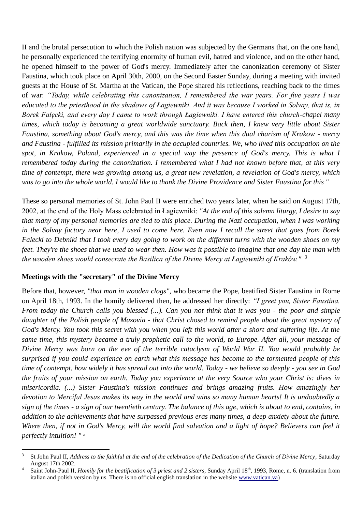II and the brutal persecution to which the Polish nation was subjected by the Germans that, on the one hand, he personally experienced the terrifying enormity of human evil, hatred and violence, and on the other hand, he opened himself to the power of God's mercy. Immediately after the canonization ceremony of Sister Faustina, which took place on April 30th, 2000, on the Second Easter Sunday, during a meeting with invited guests at the House of St. Martha at the Vatican, the Pope shared his reflections, reaching back to the times of war: *"Today, while celebrating this canonization, I remembered the war years. For five years I was educated to the priesthood in the shadows of Łagiewniki. And it was because I worked in Solvay, that is, in Borek Fałęcki, and every day I came to work through Łagiewniki. I have entered this church-chapel many times, which today is becoming a great worldwide sanctuary. Back then, I knew very little about Sister Faustina, something about God's mercy, and this was the time when this dual charism of Krakow - mercy and Faustina - fulfilled its mission primarily in the occupied countries. We, who lived this occupation on the spot, in Krakow, Poland, experienced in a special way the presence of God's mercy. This is what I remembered today during the canonization. I remembered what I had not known before that, at this very time of contempt, there was growing among us, a great new revelation, a revelation of God's mercy, which was to go into the whole world. I would like to thank the Divine Providence and Sister Faustina for this "*

These so personal memories of St. John Paul II were enriched two years later, when he said on August 17th, 2002, at the end of the Holy Mass celebrated in Łagiewniki: *"At the end of this solemn liturgy, I desire to say that many of my personal memories are tied to this place. During the Nazi occupation, when I was working in the Solvay factory near here, I used to come here. Even now I recall the street that goes from Borek Falecki to Debniki that I took every day going to work on the different turns with the wooden shoes on my feet. They're the shoes that we used to wear then. How was it possible to imagine that one day the man with the wooden shoes would consecrate the Basilica of the Divine Mercy at Łagiewniki of Kraków." <sup>3</sup>*

### **Meetings with the "secretary" of the Divine Mercy**

Before that, however, *"that man in wooden clogs",* who became the Pope, beatified Sister Faustina in Rome on April 18th, 1993. In the homily delivered then, he addressed her directly: *"I greet you, Sister Faustina. From today the Church calls you blessed (...). Can you not think that it was you - the poor and simple daughter of the Polish people of Mazovia - that Christ chosed to remind people about the great mystery of God's Mercy. You took this secret with you when you left this world after a short and suffering life. At the same time, this mystery became a truly prophetic call to the world, to Europe. After all, your message of Divine Mercy was born on the eve of the terrible cataclysm of World War II. You would probably be surprised if you could experience on earth what this message has become to the tormented people of this time of contempt, how widely it has spread out into the world. Today - we believe so deeply - you see in God the fruits of your mission on earth. Today you experience at the very Source who your Christ is: dives in misericordia. (...) Sister Faustina's mission continues and brings amazing fruits. How amazingly her devotion to Merciful Jesus makes its way in the world and wins so many human hearts! It is undoubtedly a sign of the times - a sign of our twentieth century. The balance of this age, which is about to end, contains, in addition to the achievements that have surpassed previous eras many times, a deep anxiety about the future. Where then, if not in God's Mercy, will the world find salvation and a light of hope? Believers can feel it perfectly intuition! " 4*

<sup>3</sup> St John Paul II, *Address to the faithful at the end of the celebration of the Dedication of the Church of Divine Mercy*, Saturday August 17th 2002.

<sup>4</sup> Saint John-Paul II, *Homily for the beatification of 3 priest and 2 sisters*, Sunday April 18th, 1993, Rome, n. 6. (translation from italian and polish version by us. There is no official english translation in the website [www.vatican.va\)](http://www.vatican.va/)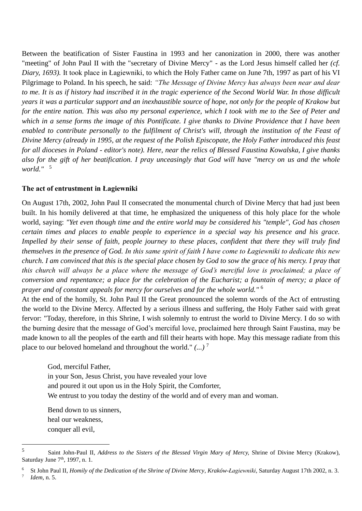Between the beatification of Sister Faustina in 1993 and her canonization in 2000, there was another "meeting" of John Paul II with the "secretary of Divine Mercy" - as the Lord Jesus himself called her *(cf. Diary, 1693).* It took place in Łagiewniki, to which the Holy Father came on June 7th, 1997 as part of his VI Pilgrimage to Poland. In his speech, he said: *"The Message of Divine Mercy has always been near and dear*  to me. It is as if history had inscribed it in the tragic experience of the Second World War. In those difficult *years it was a particular support and an inexhaustible source of hope, not only for the people of Krakow but for the entire nation. This was also my personal experience, which I took with me to the See of Peter and which in a sense forms the image of this Pontificate. I give thanks to Divine Providence that I have been enabled to contribute personally to the fulfilment of Christ's will, through the institution of the Feast of Divine Mercy (already in 1995, at the request of the Polish Episcopate, the Holy Father introduced this feast for all dioceses in Poland - editor's note). Here, near the relics of Blessed Faustina Kowalska, I give thanks also for the gift of her beatification. I pray unceasingly that God will have "mercy on us and the whole world."* <sup>5</sup>

#### **The act of entrustment in Łagiewniki**

On August 17th, 2002, John Paul II consecrated the monumental church of Divine Mercy that had just been built. In his homily delivered at that time, he emphasized the uniqueness of this holy place for the whole world, saying: *"Yet even though time and the entire world may be considered his "temple", God has chosen certain times and places to enable people to experience in a special way his presence and his grace. Impelled by their sense of faith, people journey to these places, confident that there they will truly find themselves in the presence of God. In this same spirit of faith I have come to Łagiewniki to dedicate this new church. I am convinced that this is the special place chosen by God to sow the grace of his mercy. I pray that this church will always be a place where the message of God's merciful love is proclaimed; a place of conversion and repentance; a place for the celebration of the Eucharist; a fountain of mercy; a place of prayer and of constant appeals for mercy for ourselves and for the whole world."* 6

At the end of the homily, St. John Paul II the Great pronounced the solemn words of the Act of entrusting the world to the Divine Mercy. Affected by a serious illness and suffering, the Holy Father said with great fervor: "Today, therefore, in this Shrine, I wish solemnly to entrust the world to Divine Mercy. I do so with the burning desire that the message of God's merciful love, proclaimed here through Saint Faustina, may be made known to all the peoples of the earth and fill their hearts with hope. May this message radiate from this place to our beloved homeland and throughout the world." *(...)* <sup>7</sup>

God, merciful Father, in your Son, Jesus Christ, you have revealed your love and poured it out upon us in the Holy Spirit, the Comforter, We entrust to you today the destiny of the world and of every man and woman.

Bend down to us sinners, heal our weakness, conquer all evil,

<sup>5</sup> Saint John-Paul II, *Address to the Sisters of the Blessed Virgin Mary of Mercy*, Shrine of Divine Mercy (Krakow), Saturday June 7<sup>th</sup>, 1997, n. 1.

<sup>6</sup> St John Paul II, *Homily of the Dedication of the Shrine of Divine Mercy*, *Kraków-Łagiewniki*, Saturday August 17th 2002, n. 3. 7 *Idem,* n. 5.